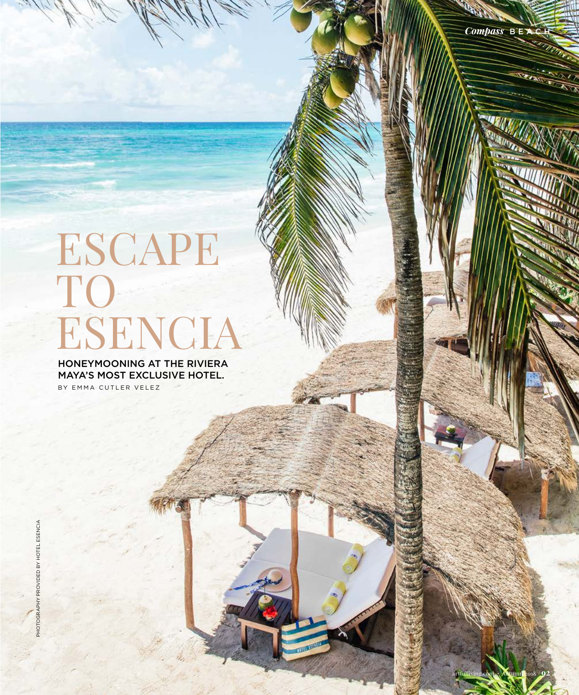artfulliving.com • Autumn 2018 **92**

## ESCAPE TO ESENCIA

HONEYMOONING AT THE RIVIERA MAYA'S MOST EXCLUSIVE HOTEL. BY EMMA CUTLER VELEZ

PHOTOGRAPHY PROVIDED BY HOTEL ESENCIA

PHOTOGRAPHY PROVIDED BY

HOTEL ESENCIA